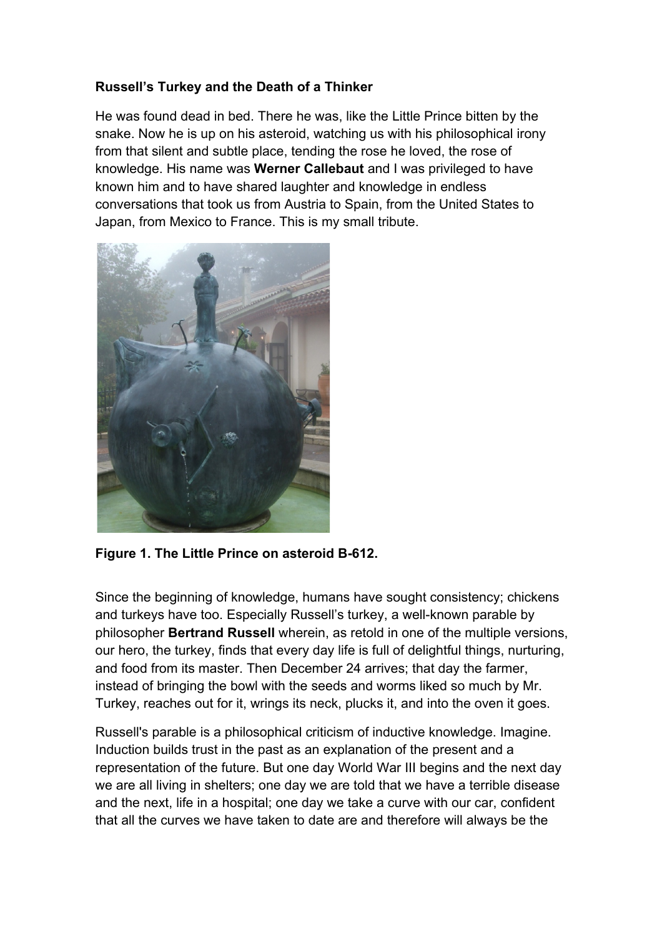## **Russell's Turkey and the Death of a Thinker**

He was found dead in bed. There he was, like the Little Prince bitten by the snake. Now he is up on his asteroid, watching us with his philosophical irony from that silent and subtle place, tending the rose he loved, the rose of knowledge. His name was **Werner Callebaut** and I was privileged to have known him and to have shared laughter and knowledge in endless conversations that took us from Austria to Spain, from the United States to Japan, from Mexico to France. This is my small tribute.



**Figure 1. The Little Prince on asteroid B-612.**

Since the beginning of knowledge, humans have sought consistency; chickens and turkeys have too. Especially Russell's turkey, a well-known parable by philosopher **Bertrand Russell** wherein, as retold in one of the multiple versions, our hero, the turkey, finds that every day life is full of delightful things, nurturing, and food from its master. Then December 24 arrives; that day the farmer, instead of bringing the bowl with the seeds and worms liked so much by Mr. Turkey, reaches out for it, wrings its neck, plucks it, and into the oven it goes.

Russell's parable is a philosophical criticism of inductive knowledge. Imagine. Induction builds trust in the past as an explanation of the present and a representation of the future. But one day World War III begins and the next day we are all living in shelters; one day we are told that we have a terrible disease and the next, life in a hospital; one day we take a curve with our car, confident that all the curves we have taken to date are and therefore will always be the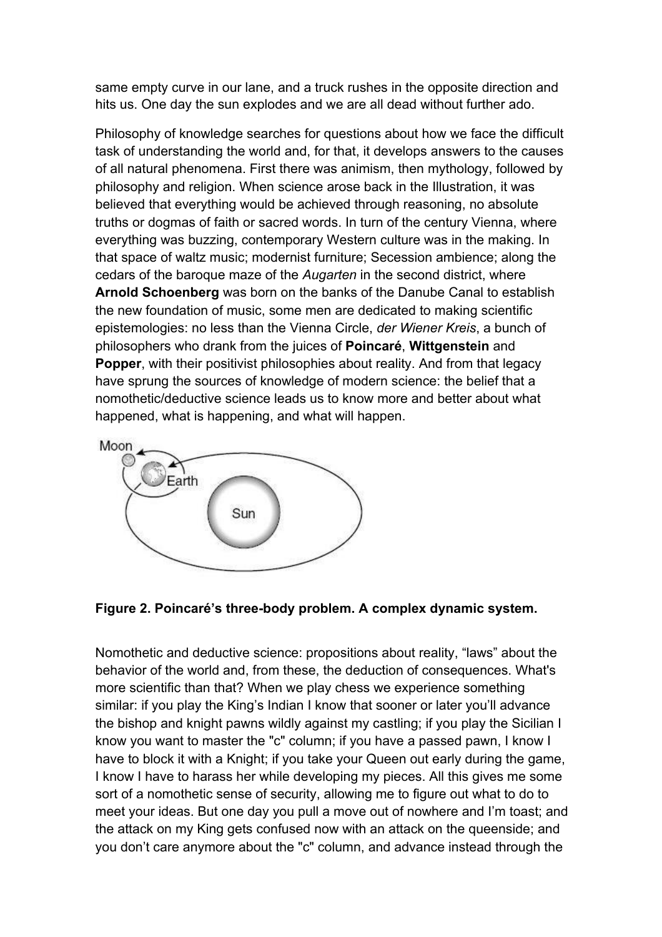same empty curve in our lane, and a truck rushes in the opposite direction and hits us. One day the sun explodes and we are all dead without further ado.

Philosophy of knowledge searches for questions about how we face the difficult task of understanding the world and, for that, it develops answers to the causes of all natural phenomena. First there was animism, then mythology, followed by philosophy and religion. When science arose back in the Illustration, it was believed that everything would be achieved through reasoning, no absolute truths or dogmas of faith or sacred words. In turn of the century Vienna, where everything was buzzing, contemporary Western culture was in the making. In that space of waltz music; modernist furniture; Secession ambience; along the cedars of the baroque maze of the *Augarten* in the second district, where **Arnold Schoenberg** was born on the banks of the Danube Canal to establish the new foundation of music, some men are dedicated to making scientific epistemologies: no less than the Vienna Circle, *der Wiener Kreis*, a bunch of philosophers who drank from the juices of **Poincaré**, **Wittgenstein** and **Popper**, with their positivist philosophies about reality. And from that legacy have sprung the sources of knowledge of modern science: the belief that a nomothetic/deductive science leads us to know more and better about what happened, what is happening, and what will happen.





Nomothetic and deductive science: propositions about reality, "laws" about the behavior of the world and, from these, the deduction of consequences. What's more scientific than that? When we play chess we experience something similar: if you play the King's Indian I know that sooner or later you'll advance the bishop and knight pawns wildly against my castling; if you play the Sicilian I know you want to master the "c" column; if you have a passed pawn, I know I have to block it with a Knight; if you take your Queen out early during the game, I know I have to harass her while developing my pieces. All this gives me some sort of a nomothetic sense of security, allowing me to figure out what to do to meet your ideas. But one day you pull a move out of nowhere and I'm toast; and the attack on my King gets confused now with an attack on the queenside; and you don't care anymore about the "c" column, and advance instead through the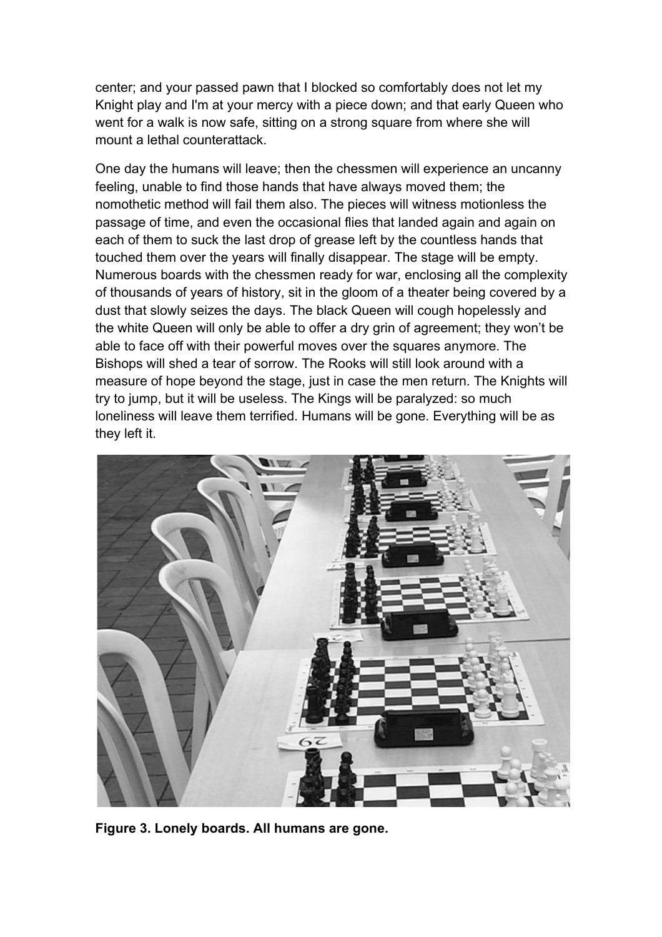center; and your passed pawn that I blocked so comfortably does not let my Knight play and I'm at your mercy with a piece down; and that early Queen who went for a walk is now safe, sitting on a strong square from where she will mount a lethal counterattack.

One day the humans will leave; then the chessmen will experience an uncanny feeling, unable to find those hands that have always moved them; the nomothetic method will fail them also. The pieces will witness motionless the passage of time, and even the occasional flies that landed again and again on each of them to suck the last drop of grease left by the countless hands that touched them over the years will finally disappear. The stage will be empty. Numerous boards with the chessmen ready for war, enclosing all the complexity of thousands of years of history, sit in the gloom of a theater being covered by a dust that slowly seizes the days. The black Queen will cough hopelessly and the white Queen will only be able to offer a dry grin of agreement; they won't be able to face off with their powerful moves over the squares anymore. The Bishops will shed a tear of sorrow. The Rooks will still look around with a measure of hope beyond the stage, just in case the men return. The Knights will try to jump, but it will be useless. The Kings will be paralyzed: so much loneliness will leave them terrified. Humans will be gone. Everything will be as they left it.



**Figure 3. Lonely boards. All humans are gone.**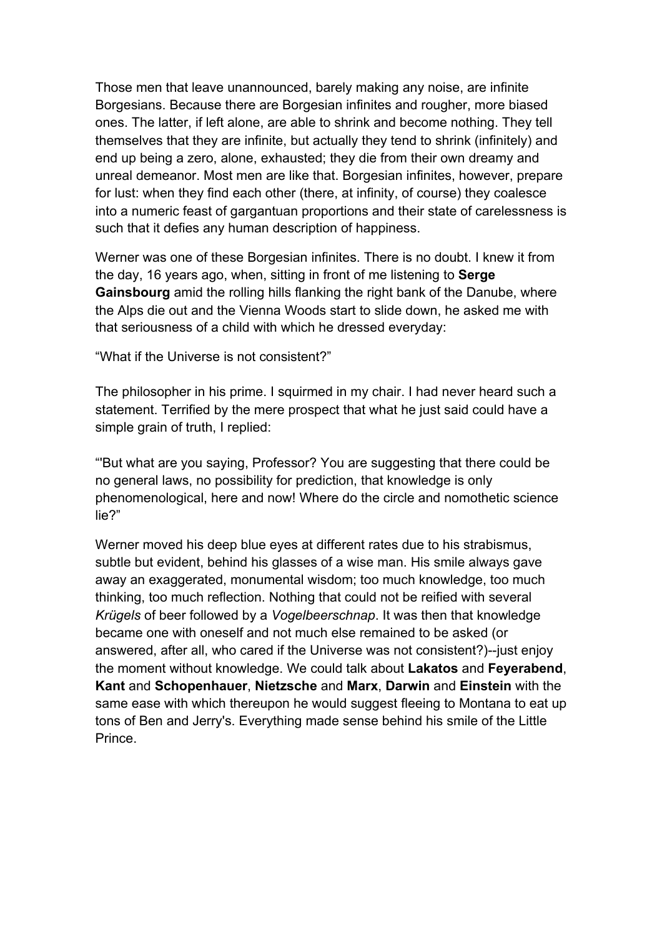Those men that leave unannounced, barely making any noise, are infinite Borgesians. Because there are Borgesian infinites and rougher, more biased ones. The latter, if left alone, are able to shrink and become nothing. They tell themselves that they are infinite, but actually they tend to shrink (infinitely) and end up being a zero, alone, exhausted; they die from their own dreamy and unreal demeanor. Most men are like that. Borgesian infinites, however, prepare for lust: when they find each other (there, at infinity, of course) they coalesce into a numeric feast of gargantuan proportions and their state of carelessness is such that it defies any human description of happiness.

Werner was one of these Borgesian infinites. There is no doubt. I knew it from the day, 16 years ago, when, sitting in front of me listening to **Serge Gainsbourg** amid the rolling hills flanking the right bank of the Danube, where the Alps die out and the Vienna Woods start to slide down, he asked me with that seriousness of a child with which he dressed everyday:

"What if the Universe is not consistent?"

The philosopher in his prime. I squirmed in my chair. I had never heard such a statement. Terrified by the mere prospect that what he just said could have a simple grain of truth, I replied:

"'But what are you saying, Professor? You are suggesting that there could be no general laws, no possibility for prediction, that knowledge is only phenomenological, here and now! Where do the circle and nomothetic science lie?"

Werner moved his deep blue eyes at different rates due to his strabismus, subtle but evident, behind his glasses of a wise man. His smile always gave away an exaggerated, monumental wisdom; too much knowledge, too much thinking, too much reflection. Nothing that could not be reified with several *Krügels* of beer followed by a *Vogelbeerschnap*. It was then that knowledge became one with oneself and not much else remained to be asked (or answered, after all, who cared if the Universe was not consistent?)--just enjoy the moment without knowledge. We could talk about **Lakatos** and **Feyerabend**, **Kant** and **Schopenhauer**, **Nietzsche** and **Marx**, **Darwin** and **Einstein** with the same ease with which thereupon he would suggest fleeing to Montana to eat up tons of Ben and Jerry's. Everything made sense behind his smile of the Little Prince.